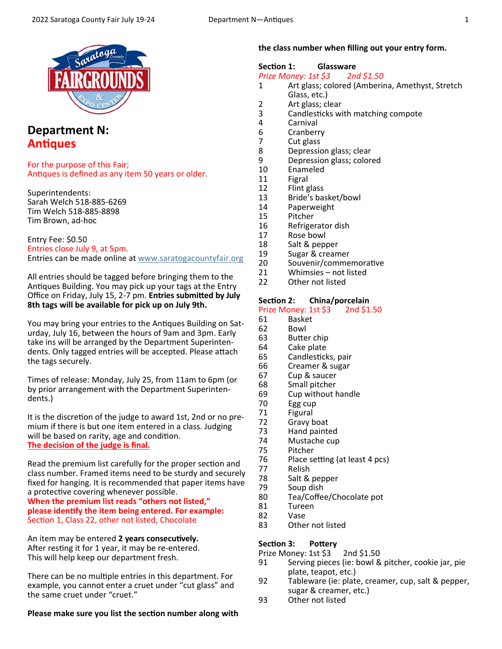

# **Department N: AnƟques**

For the purpose of this Fair; Antiques is defined as any item 50 years or older.

Superintendents: Sarah Welch 518‐885‐6269 Tim Welch 518‐885‐8898 Tim Brown, ad‐hoc

Entry Fee: \$0.50 Entries close July 9, at 5pm. Entries can be made online at www.saratogacountyfair.org

All entries should be tagged before bringing them to the Antiques Building. You may pick up your tags at the Entry Office on Friday, July 15, 2-7 pm. **Entries submitted by July 8th tags will be available for pick up on July 9th.** 

You may bring your entries to the Antiques Building on Saturday, July 16, between the hours of 9am and 3pm. Early take ins will be arranged by the Department Superinten‐ dents. Only tagged entries will be accepted. Please attach the tags securely.

Times of release: Monday, July 25, from 11am to 6pm (or by prior arrangement with the Department Superinten‐ dents.)

It is the discretion of the judge to award 1st, 2nd or no premium if there is but one item entered in a class. Judging will be based on rarity, age and condition. **The decision of the judge is final.** 

Read the premium list carefully for the proper section and class number. Framed items need to be sturdy and securely fixed for hanging. It is recommended that paper items have a protective covering whenever possible.

**When the premium list reads "others not listed," please idenƟfy the item being entered. For example:**  Section 1, Class 22, other not listed, Chocolate

An item may be entered 2 years consecutively. After resting it for 1 year, it may be re-entered. This will help keep our department fresh.

There can be no multiple entries in this department. For example, you cannot enter a cruet under "cut glass" and the same cruet under "cruet."

**Please make sure you list the section number along with** 

#### **the class number when filling out your entry form.**

#### Section 1: **Glassware**

*Prize Money: 1st \$3 2nd \$1.50* 

- 1 Art glass; colored (Amberina, Amethyst, Stretch Glass, etc.)<br>2 Art glass: cl
- 2 Art glass; clear<br>3 Candlesticks wi
- 3 Candlesticks with matching compote<br>4 Carnival
- 4 Carnival<br>6 Cranberi
- 6 Cranberry<br>7 Cut glass
- 7 Cut glass<br>8 Depressio
- Depression glass; clear
- 9 Depression glass; colored<br>10 Enameled
- **Enameled**
- 11 Figral<br>12 Flint s
- 12 Flint glass<br>13 Bride's bay
- 13 Bride's basket/bowl<br>14 Paperweight
- 14 Paperweight<br>15 Pitcher
- 15 Pitcher<br>16 Refrige
- 16 Refrigerator dish<br>17 Rose bowl
- Rose bowl
- 18 Salt & pepper<br>19 Sugar & cream
- 19 Sugar & creamer<br>20 Souvenir/comme
- Souvenir/commemorative
- 21 Whimsies not listed<br>22 Other not listed
- Other not listed

# **Section 2: China/porcelain**<br>**Prize Money: 1st \$3** 2nd \$1.50

Prize Money: 1st \$3.

- 61 Basket<br>62 Bowl
- 62 Bowl
- 63 Butter chip<br>64 Cake plate
- Cake plate
- 65 Candlesticks, pair
- 66 Creamer & sugar
- 67 Cup & saucer
- 68 Small pitcher
- 69 Cup without handle<br>70 Egg cup Egg cup
- 71 Figural
- 
- 72 Gravy boat<br>73 Hand painte
- 73 Hand painted<br>74 Mustache cup
- 74 Mustache cup<br>75 Pitcher
- 75 Pitcher 76 Place setting (at least 4 pcs)<br>77 Relish
- 77 Relish
- 78 Salt & pepper<br>79 Soup dish
- 79 Soup dish<br>80 Tea/Coffer
- Tea/Coffee/Chocolate pot
- 81 Tureen<br>82 Vase
- Vase
- 83 Other not listed

#### Section 3: **Pottery**

- Prize Money: 1st \$3 2nd \$1.50<br>91 Serving pieces (ie: bowl & Serving pieces (ie: bowl & pitcher, cookie jar, pie plate, teapot, etc.)<br>92 Tableware (ie: plate
- Tableware (ie: plate, creamer, cup, salt & pepper, sugar & creamer, etc.)<br>93 Other not listed
- Other not listed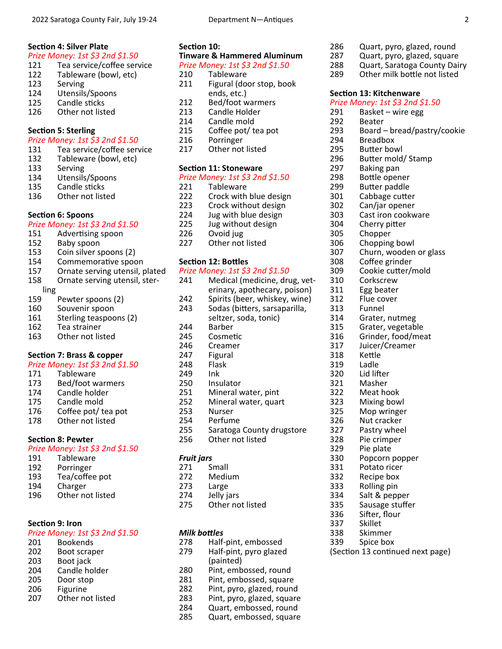#### *Prize Money: 1st \$3 2nd \$1.50*

- 121 Tea service/coffee service
- 122 Tableware (bowl, etc)
- 123 Serving<br>124 Utensils
- 124 Utensils/Spoons<br>125 Candle sticks
- 125 Candle sticks<br>126 Other not list
- Other not listed

# **Section 5: Sterling**

### *Prize Money: 1st \$3 2nd \$1.50*

- 131 Tea service/coffee service<br>132 Tableware (bowl. etc)
- 132 Tableware (bowl, etc)<br>133 Serving
- **Serving**
- 
- 134 Utensils/Spoons<br>135 Candle sticks Candle sticks
- 136 Other not listed

# **Section 6: Spoons**

#### *Prize Money: 1st \$3 2nd \$1.50*

- 151 Advertising spoon<br>152 Baby spoon
- 
- 152 Baby spoon<br>153 Coin silver s Coin silver spoons (2)
- 154 Commemorative spoon<br>157 Ornate serving utensil.
- Ornate serving utensil, plated
- 158 Ornate serving utensil, ster‐
- 
- ling<br>159 Pewter spoons (2)
- 160 Souvenir spoon
- 161 Sterling teaspoons (2)
- 162 Tea strainer
- 163 Other not listed

## Section 7: Brass & copper

#### *Prize Money: 1st \$3 2nd \$1.50*

- 171 Tableware<br>173 Bed/foot w
- 173 Bed/foot warmers<br>174 Candle holder
- Candle holder
- 175 Candle mold
- 176 Coffee pot/ tea pot<br>178 Other not listed
- Other not listed

# **Section 8: Pewter**

## *Prize Money: 1st \$3 2nd \$1.50*

- 191 Tableware 192 Porringer<br>193 Tea/coffe Tea/coffee pot
- 194 Charger<br>196 Other no
- Other not listed

# **Section 9: Iron**

# *Prize Money: 1st \$3 2nd \$1.50*

- 201 Bookends 202 Boot scraper 203 Boot jack 204 Candle holder
- 205 Door stop
- 206 Figurine 207 Other not listed

### Section 10:

#### **Tinware & Hammered Aluminum**  *Prize Money: 1st \$3 2nd \$1.50*

- 210 Tableware
- 211 Figural (door stop, book ends, etc.)<br>212 Bed/foot w
- 212 Bed/foot warmers<br>213 Candle Holder
- 213 Candle Holder<br>214 Candle mold
- 214 Candle mold<br>215 Coffee pot/t 215 Coffee pot/ tea pot<br>216 Porringer
- 
- 216 Porringer<br>217 Other not Other not listed

#### **Section 11: Stoneware**

#### *Prize Money: 1st \$3 2nd \$1.50*

221 Tableware 222 Crock with blue design 223 Crock without design 224 Jug with blue design<br>225 Jug without design 225 Jug without design<br>226 Ovoid jug 226 Ovoid jug<br>227 Other not Other not listed **Section 12: Bottles** 

#### *Prize Money: 1st \$3 2nd \$1.50*

241 Medical (medicine, drug, vet‐ erinary, apothecary, poison)<br>242 – Spirits (beer, whiskev, wine) 242 Spirits (beer, whiskey, wine)<br>243 Sodas (bitters, sarsaparilla, Sodas (bitters, sarsaparilla, seltzer, soda, tonic)<br>244 Barber 244 Barber<br>245 Cosmet Cosmetic 246 Creamer 247 Figural<br>248 Flask **Flask** 249 Ink 250 Insulator<br>251 Mineral w 251 Mineral water, pint<br>252 Mineral water, quar 252 Mineral water, quart<br>253 Nurser 253 Nurser Perfume 255 Saratoga County drugstore 256 Other not listed

## *Fruit jars*

- 271 Small 272 Medium
- 
- 273 Large<br>274 Jelly ia
- 274 Jelly jars<br>275 Other no Other not listed

- *Milk bottles*<br>278 Half-Half-pint, embossed 279 Half‐pint, pyro glazed (painted)
- 280 Pint, embossed, round
- 281 Pint, embossed, square
- 282 Pint, pyro, glazed, round
- 
- 283 Pint, pyro, glazed, square<br>284 Ouart, embossed, round 284 Quart, embossed, round<br>285 Quart, embossed, square
- Quart, embossed, square

### 286 Quart, pyro, glazed, round

- 287 Quart, pyro, glazed, square<br>288 Ouart, Saratoga County Dai
- 288 Quart, Saratoga County Dairy<br>289 Other milk bottle not listed
- Other milk bottle not listed

### **Section 13: Kitchenware**

#### *Prize Money: 1st \$3 2nd \$1.50*

- 291 Basket wire egg
- 292 Beater<br>293 Board -
- 293 Board bread/pastry/cookie<br>294 Breadbox
- 
- 294 Breadbox<br>295 Butter boy
- 295 Butter bowl<br>296 Butter mold 296 Butter mold/Stamp<br>297 Baking pan
- Baking pan
- 
- 298 Bottle opener<br>299 Butter paddle
- 299 Butter paddle<br>301 Cabbage cutte Cabbage cutter
- 302 Can/jar opener
- 
- 303 Cast iron cookware<br>304 Cherry pitter
- 304 Cherry pitter<br>305 Chopper

311 Egg beater 312 Flue cover<br>313 Funnel **Funnel** 314 Grater, nutmeg<br>315 Grater, vegetab 315 Grater, vegetable<br>316 Grinder, food/mea

317 Juicer/Creamer

318 Kettle<br>319 Ladle 319 Ladle<br>320 Lid lift 320 Lid lifter<br>321 Masher 321 Masher<br>322 Meat ho 322 Meat hook<br>323 Mixing bow 323 Mixing bowl 325 Mop wringer<br>326 Nut cracker Nut cracker 327 Pastry wheel 328 Pie crimper 329 Pie plate

- 305 Chopper<br>306 Chopping
- 306 Chopping bowl<br>307 Churn, wooden
- 307 Churn, wooden or glass<br>308 Coffee grinder Coffee grinder

Grinder, food/meat

Popcorn popper

331 Potato ricer 332 Recipe box<br>333 Rolling pin 333 Rolling pin 334 Salt & pepper 335 Sausage stuffer<br>336 Sifter, flour 336 Sifter, flour<br>337 Skillet 337 Skillet<br>338 Skimm 338 Skimmer<br>339 Spice box

Spice box (Section 13 continued next page)

309 Cookie cutter/mold<br>310 Corkscrew **Corkscrew**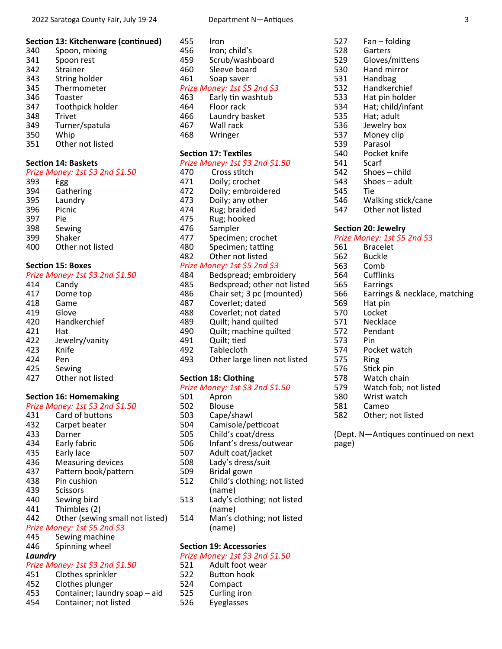#### **Section 13: Kitchenware (continued)**

| 340 | Spoon, mixing    |
|-----|------------------|
| 341 | Spoon rest       |
| 342 | Strainer         |
| 343 | String holder    |
| 345 | Thermometer      |
| 346 | Toaster          |
| 347 | Toothpick holder |
| 348 | <b>Trivet</b>    |
| 349 | Turner/spatula   |
| 350 | Whip             |
| 351 | Other not listed |
|     |                  |

#### **Section 14: Baskets**

| JL LII                          | VII 17. DUJR     |  |
|---------------------------------|------------------|--|
| Prize Money: 1st \$3 2nd \$1.50 |                  |  |
| 393                             | Egg              |  |
| 394                             | Gathering        |  |
| 395                             | Laundry          |  |
| 396                             | Picnic           |  |
| 397                             | Pie              |  |
| 398                             | Sewing           |  |
| 399                             | Shaker           |  |
| 400                             | Other not listed |  |
|                                 |                  |  |

#### **Section 15: Boxes**

#### *Prize Money: 1st \$3 2nd \$1.50*

| 414 | Candy                  |
|-----|------------------------|
| 417 | Dome top               |
| 418 | Game                   |
| 419 | Glove                  |
| 420 | Handkerchief           |
| 421 | Hat                    |
| 422 | Jewelry/vanity         |
| 423 | Knife                  |
| 424 | Pen                    |
| 425 | Sewing                 |
| 127 | الممقمئل لخميم سممالات |

427 Other not listed

#### **Section 16: Homemaking** *Prize Money: 1st \$3 2nd \$1.50*

|                              | סטובק בוואס כך 13t ו-11zc       |
|------------------------------|---------------------------------|
| 431                          | Card of buttons                 |
| 432                          | Carpet beater                   |
| 433                          | Darner                          |
| 434                          | Early fabric                    |
| 435                          | Early lace                      |
| 436                          | <b>Measuring devices</b>        |
| 437                          | Pattern book/pattern            |
| 438                          | Pin cushion                     |
| 439                          | <b>Scissors</b>                 |
| 440                          | Sewing bird                     |
| 441                          | Thimbles (2)                    |
| 442                          | Other (sewing small not listed) |
| Prize Money: 1st \$5 2nd \$3 |                                 |
| 44 F                         | Couring monthing                |

# 445 Sewing machine

446 Spinning wheel

# *Laundry*

# *Prize Money: 1st \$3 2nd \$1.50*

- Clothes sprinkler
- 452 Clothes plunger<br>453 Container: launc
- Container; laundry soap aid
- 454 Container; not listed

| 455 | Iron                         |  |
|-----|------------------------------|--|
| 456 | Iron; child's                |  |
| 459 | Scrub/washboard              |  |
| 460 | Sleeve board                 |  |
| 461 | Soap saver                   |  |
|     | Prize Money: 1st \$5 2nd \$3 |  |
| 463 | Early tin washtub            |  |
| 464 | Floor rack                   |  |
| 466 | Laundry basket               |  |
| 467 | Wall rack                    |  |
| 468 | Wringer                      |  |
|     |                              |  |

#### **Section 17: Textiles**

## *Prize Money: 1st \$3 2nd \$1.50*

| 470 | Cross stitch       |
|-----|--------------------|
| 471 | Doily; crochet     |
| 472 | Doily; embroidered |
| 473 | Doily; any other   |
| 474 | Rug; braided       |
| 475 | Rug; hooked        |
| 476 | Sampler            |
| 477 | Specimen; crochet  |
| 480 | Specimen; tatting  |
| 482 | Other not listed   |
|     |                    |

# *Prize Money: 1st \$5 2nd \$3*

| 484                             | Bedspread; embroidery        |
|---------------------------------|------------------------------|
| 485                             | Bedspread; other not listed  |
| 486                             | Chair set; 3 pc (mounted)    |
| 487                             | Coverlet; dated              |
| 488                             | Coverlet; not dated          |
| 489                             | Quilt; hand quilted          |
| 490                             | Quilt; machine quilted       |
| 491                             | Quilt; tied                  |
| 492                             | Tablecloth                   |
| 493                             | Other large linen not listed |
|                                 |                              |
| <b>Section 18: Clothing</b>     |                              |
| Prize Money: 1st \$3 2nd \$1.50 |                              |

|     | JUULIUII 10. UIULIIIIIS         |
|-----|---------------------------------|
|     | Prize Money: 1st \$3 2nd \$1.50 |
| 501 | Apron                           |
| 502 | Blouse                          |
| 503 | Cape/shawl                      |
| 504 | Camisole/petticoat              |
| 505 | Child's coat/dress              |
| 506 | Infant's dress/outwear          |
| 507 | Adult coat/jacket               |
| 508 | Lady's dress/suit               |
| 509 | Bridal gown                     |
| 512 | Child's clothing; not listed    |
|     | (name)                          |
| 513 | Lady's clothing; not listed     |
|     | (name)                          |

514 Man's clothing; not listed (name)

#### **Section 19: Accessories**

#### *Prize Money: 1st \$3 2nd \$1.50*

- 521 Adult foot wear<br>522 Button hook
	- Button hook
- 524 Compact
- 525 Curling iron
- 526 Eyeglasses

| 527        | $Fan - folding$  |
|------------|------------------|
| 528        | Garters          |
| 529        | Gloves/mittens   |
| 530        | Hand mirror      |
| <b>FO4</b> | د د ما لم د م ۱۱ |

- 531 Handbag 532 Handkerchief
- 533 Hat pin holder
- 
- 534 Hat; child/infant<br>535 Hat; adult
- 535 Hat; adult
- 536 Jewelry box<br>537 Money clip
- 537 Money clip<br>539 Parasol Parasol
- 
- 540 Pocket knife<br>541 Scarf
- 541 Scarf<br>542 Shoes Shoes – child
- 543 Shoes adult
- 545 Tie
- 546 Walking stick/cane
- 547 Other not listed

#### **Section 20: Jewelry**

- 561 Bracelet<br>562 Buckle
- **Buckle**
- 
- 563 Comb<br>564 Cufflin
- 564 Cufflinks<br>565 Earrings **Earrings**
- 566 Earrings & necklace, matching
- 569 Hat pin
	- Locket
- 571 Necklace
- 572 Pendant
- 573 Pin
- 574 Pocket watch
- 
- 575 Ring<br>576 Stick Stick pin
	-
- 578 Watch chain<br>579 Watch fob: n 579 Watch fob; not listed<br>580 Wrist watch
- Wrist watch
	-
- 581 Cameo<br>582 Other: Other; not listed

(Dept. N-Antiques continued on next page)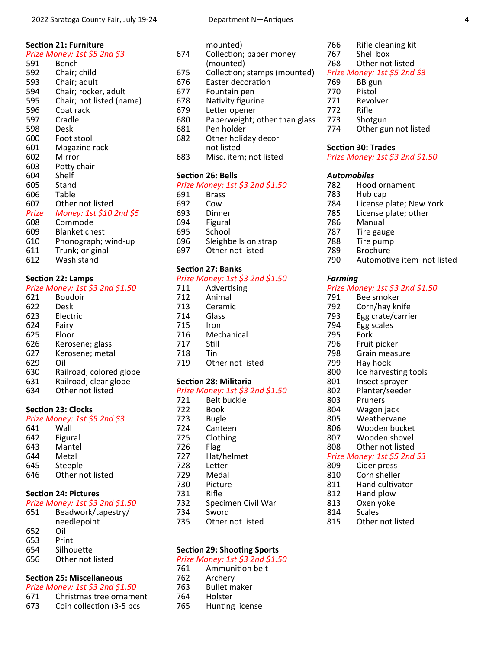#### **SecƟon 21: Furniture**

| Secuon ZII rumiule |                              |  |
|--------------------|------------------------------|--|
|                    | Prize Money: 1st \$5 2nd \$3 |  |
| 591                | Bench                        |  |
| 592                | Chair; child                 |  |
| 593                | Chair; adult                 |  |
| 594                | Chair; rocker, adult         |  |
| 595                | Chair; not listed (name)     |  |
| 596                | Coat rack                    |  |
| 597                | Cradle                       |  |
| 598                | Desk                         |  |
| 600                | Foot stool                   |  |
| 601                | Magazine rack                |  |
| 602                | Mirror                       |  |
| 603                | Potty chair                  |  |
| 604                | Shelf                        |  |
| 605                | Stand                        |  |
| 606                | Table                        |  |
| 607                | Other not listed             |  |
| Prize              | Money: 1st \$10 2nd \$5      |  |
| 608                | Commode                      |  |
| 609                | <b>Blanket chest</b>         |  |
| 610                | Phonograph; wind-up          |  |
| 611                | Trunk; original              |  |
| 612                | Wash stand                   |  |

**Section 22: Lamps** 

#### *Prize Money: 1st \$3 2nd \$1.50*

| 621 | Boudoir                 |
|-----|-------------------------|
| 622 | Desk                    |
| 623 | Electric                |
| 624 | Fairy                   |
| 625 | Floor                   |
| 626 | Kerosene; glass         |
| 627 | Kerosene; metal         |
| 629 | Oil                     |
| 630 | Railroad; colored globe |
| 631 | Railroad; clear globe   |
| 634 | Other not listed        |

## **Section 23: Clocks**

|           | Prize Money: 1st \$5 2nd \$3 |  |
|-----------|------------------------------|--|
| $\sim$ 11 | $111 -$                      |  |

| 641 | Wall             |
|-----|------------------|
| 642 | Figural          |
| 643 | Mantel           |
| 644 | Metal            |
| 645 | Steeple          |
| 646 | Other not listed |
|     |                  |

# **SecƟon 24: Pictures**

# *Prize Money: 1st \$3 2nd \$1.50*

| 651 | Beadwork/tapestry/ |  |
|-----|--------------------|--|
|     | needlepoint        |  |
| 652 | Oil                |  |
| 653 | Print              |  |
| 654 | Silhouette         |  |
| 656 | Other not listed   |  |

656 Other not listed

## **Section 25: Miscellaneous**

*Prize Money: 1st \$3 2nd \$1.50* 

- 671 Christmas tree ornament
- 673 Coin collection (3-5 pcs

|     | mounted)                      |
|-----|-------------------------------|
| 674 | Collection; paper money       |
|     | (mounted)                     |
| 675 | Collection; stamps (mounted)  |
| 676 | Easter decoration             |
| 677 | Fountain pen                  |
| 678 | Nativity figurine             |
| 679 | Letter opener                 |
| 680 | Paperweight; other than glass |
| 681 | Pen holder                    |
| 682 | Other holiday decor           |
|     | not listed                    |

683 Misc. item; not listed

#### **Section 26: Bells**

|     | Prize Money: 1st \$3 2nd \$1.50 |
|-----|---------------------------------|
| 691 | <b>Brass</b>                    |
| 692 | Cow                             |
| 693 | Dinner                          |
| 694 | Figural                         |
| 695 | School                          |
| 696 | Sleighbells on strap            |
| 697 | Other not listed                |
|     |                                 |

## **Section 27: Banks**

|                              | Prize Money: 1st \$3 2nd \$1.50 |  |
|------------------------------|---------------------------------|--|
| 711                          | Advertising                     |  |
| 712                          | Animal                          |  |
| 713                          | Ceramic                         |  |
| 714                          | Glass                           |  |
| 715                          | Iron                            |  |
| 716                          | Mechanical                      |  |
| 717                          | Still                           |  |
| 718                          | Tin                             |  |
| 719                          | Other not listed                |  |
| <b>Section 28: Militaria</b> |                                 |  |
|                              | Prize Money: 1st \$3 2nd \$1.50 |  |
| 721                          | Belt buckle                     |  |

| 7 L J | DUIL DUUNIC        |
|-------|--------------------|
| 722   | Book               |
| 723   | Bugle              |
| 724   | Canteen            |
| 725   | Clothing           |
| 726   | Flag               |
| 727   | Hat/helmet         |
| 728   | Letter             |
| 729   | Medal              |
| 730   | Picture            |
| 731   | Rifle              |
| 732   | Specimen Civil War |
| 734   | Sword              |
| 735   | Other not listed   |
|       |                    |

## **Section 29: Shooting Sports**

### *Prize Money: 1st \$3 2nd \$1.50*

- 761 Ammunition belt<br>762 Archery
- 762 Archery<br>763 Bullet m
- **Bullet maker** 764 Holster
- 765 Hunting license
- 766 Rifle cleaning kit<br>767 Shell box
- 767 Shell box<br>768 Other not Other not listed
- *Prize Money: 1st \$5 2nd \$3* 
	- 769 BB gun
		- Pistol
	- 771 Revolver
	- 772 Rifle
	- 773 Shotgun
		- Other gun not listed

#### **Section 30: Trades**

*Prize Money: 1st \$3 2nd \$1.50* 

# *Automobiles*

- 782 Hood ornament<br>783 Hub cap
- 783 Hub cap<br>784 License p
- 784 License plate; New York<br>785 License plate; other
- License plate; other
- 786 Manual
- 787 Tire gauge<br>788 Tire pump
	- Tire pump
- 789 Brochure
- 790 Automotive item not listed

#### *Farming*

# *Prize Money: 1st \$3 2nd \$1.50*

- 791 Bee smoker<br>792 Corn/hay kn
- 792 Corn/hay knife<br>793 Egg crate/carrie
- 793 Egg crate/carrier<br>794 Egg scales
- 794 Egg scales<br>795 Fork
- Fork
- 796 Fruit picker
- 798 Grain measure<br>799 Hay hook
- Hay hook
- 800 Ice harvesting tools<br>801 Insect spraver
- 801 Insect sprayer<br>802 Planter/seeder
- 802 Planter/seeder<br>803 Pruners
- 803 Pruners<br>804 Wagon j
- 804 Wagon jack<br>805 Weathervar
- 805 Weathervane<br>806 Wooden buck
- 806 Wooden bucket<br>807 Wooden shovel
- 807 Wooden shovel<br>808 Other not listed
- Other not listed

# *Prize Money: 1st \$5 2nd \$3*

- 809 Cider press<br>810 Corn sheller
- Corn sheller
- 811 Hand cultivator
- 812 Hand plow<br>813 Oxen yoke
- Oxen yoke
- 814 Scales<br>815 Other
	- Other not listed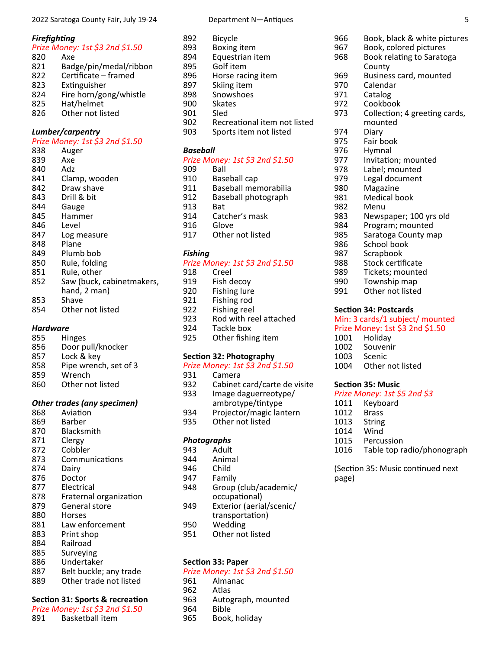#### 2022 Saratoga County Fair, July 19‐24 Department N—Antiques 5

#### *FirefighƟng*

#### *Prize Money: 1st \$3 2nd \$1.50*

- 820 Axe<br>821 Bad 821 Badge/pin/medal/ribbon<br>822 Certificate – framed 822 Certificate – framed<br>823 Extinguisher 823 Extinguisher<br>824 Fire horn/gor 824 Fire horn/gong/whistle<br>825 Hat/helmet 825 Hat/helmet<br>826 Other not lis
- Other not listed

#### *Lumber/carpentry*

#### *Prize Money: 1st \$3 2nd \$1.50*

- 838 Auger 839 Axe<br>840 Adz Adz 841 Clamp, wooden<br>842 Draw shave 842 Draw shave<br>843 Drill & bit 843 Drill & bit<br>844 Gauge **Gauge** 845 Hammer 846 Level 847 Log measure 848 Plane 849 Plumb bob 850 Rule, folding 851 Rule, other 852 Saw (buck, cabinetmakers, hand, 2 man) 853 Shave
- 854 Other not listed

# *Hardware*

- **Hinges**
- 856 Door pull/knocker
- 857 Lock & key
- 858 Pipe wrench, set of 3<br>859 Wrench Wrench
- 860 Other not listed
- 

### *Other trades (any specimen)*

- 868 Aviation
- 869 Barber 870 Blacksmith 871 Clergy<br>872 Cobble 872 Cobbler<br>873 Commui Communications 874 Dairy 876 Doctor<br>877 Electric **Electrical** 878 Fraternal organization 879 General store 880 Horses 881 Law enforcement 883 Print shop 884 Railroad
- 885 Surveying
- 
- 886 Undertaker<br>887 Belt buckle:
- 887 Belt buckle; any trade<br>889 Other trade not listed Other trade not listed

# **Section 31: Sports & recreation**

|     | Prize Money: 1st \$3 2nd \$1.50 |
|-----|---------------------------------|
| 891 | Basketball item                 |

| 892 | <b>BICYCLE</b>    |
|-----|-------------------|
| 893 | Boxing item       |
| 894 | Equestrian item   |
| 895 | Golf item         |
| 896 | Horse racing item |
| 897 | Skiing item       |
| 898 | Snowshoes         |
| 900 | <b>Skates</b>     |
| 901 | Sled              |
|     |                   |

- 902 Recreational item not listed<br>903 Sports item not listed
- Sports item not listed

#### *Baseball*

# *Prize Money: 1st \$3 2nd \$1.50*

| 909 | Ball                        |
|-----|-----------------------------|
| 910 | Baseball cap                |
| 911 | <b>Baseball memorabilia</b> |
| 912 | Baseball photograph         |
| 913 | Bat                         |
| 914 | Catcher's mask              |
| 916 | Glove                       |
| 917 | Other not listed            |
|     |                             |

#### *Fishing*

#### *Prize Money: 1st \$3 2nd \$1.50*

918 Creel<br>919 Fish d 919 Fish decoy<br>920 Fishing lure Fishing lure 921 Fishing rod 922 Fishing reel<br>923 Rod with ree 923 Rod with reel attached<br>924 Tackle box 924 Tackle box<br>925 Other fishir Other fishing item

#### **Section 32: Photography**

# *Prize Money: 1st \$3 2nd \$1.50*

- 931 Camera<br>932 Cabinet
- 932 Cabinet card/carte de visite<br>933 Image daguerreotype/ 933 Image daguerreotype/
- 
- ambrotype/tintype<br>934 Proiector/magic lan Projector/magic lantern
- 935 Other not listed

# *Photographs*

- 943 Adult<br>944 Anima
- 944 Animal<br>946 Child
- **Child**
- 947 Family<br>948 Group
- Group (club/academic/ occupational)
- 949 Exterior (aerial/scenic/ transportation) 950 Wedding
- 
- 951 Other not listed

#### **Section 33: Paper**

# *Prize Money: 1st \$3 2nd \$1.50*

- 961 Almanac<br>962 Atlas
- 962 Atlas
- 963 Autograph, mounted<br>964 Bible
- **Bible**
- 965 Book, holiday

# 966 Book, black & white pictures<br>967 Book, colored pictures

- 
- 967 Book, colored pictures<br>968 Book relating to Saratc Book relating to Saratoga
- County<br>Busines 969
- 969 Business card, mounted<br>970 Calendar
- 970 Calendar<br>971 Catalog
- 971 Catalog<br>972 Cookbo
- 972 Cookbook<br>973 Collection:
	- Collection; 4 greeting cards, mounted
- 974 Diary
- 
- 975 Fair book<br>976 Hymnal
- 976 Hymnal<br>977 Invitatio Invitation: mounted
- 
- 978 Label; mounted<br>979 Legal document
- 979 Legal document<br>980 Magazine
- 980 Magazine 981 Medical book<br>982 Menu
	-
- 982 Menu<br>983 Newsr
- 983 Newspaper; 100 yrs old<br>984 Program; mounted
- 984 Program; mounted<br>985 Saratoga County ma Saratoga County map
- 
- 986 School book<br>987 Scrapbook
- 987 Scrapbook<br>988 Stock certi Stock certificate
- 
- 989 Tickets; mounted<br>990 Township map
- 990 Township map<br>991 Other not listed
- Other not listed

#### **Section 34: Postcards**

# Min: 3 cards/1 subject/ mounted Prize Money: 1st \$3 2nd \$1.50<br>1001 Holidav

- 1001 Holiday<br>1002 Souveni 1002 Souvenir<br>1003 Scenic 1003 Scenic<br>1004 Other
- Other not listed

#### **Section 35: Music**

# *Prize Money: 1st \$5 2nd \$3*

- Keyboard 1012 Brass 1013 String
- 1014 Wind<br>1015 Percu Percussion
- 1016 Table top radio/phonograph

(Section 35: Music continued next page)

- 892 Bicycle
- 
- 
- 909 Ball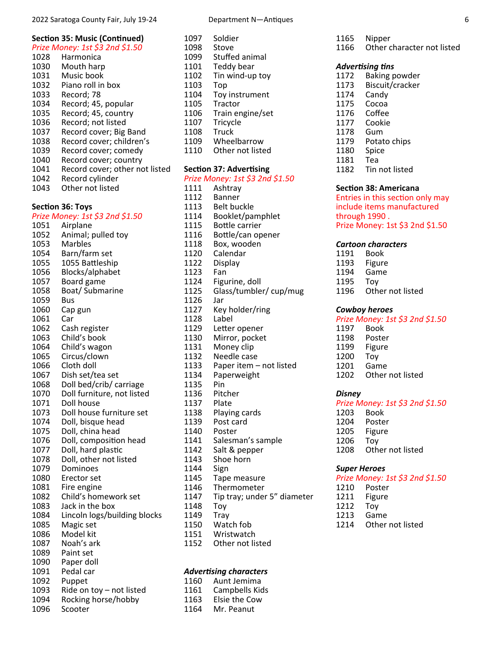# **Section 35: Music (Continued)**

*Prize Money: 1st \$3 2nd \$1.50* 

1028 Harmonica Mouth harp 1031 Music book<br>1032 Piano roll in Piano roll in box 1033 Record; 78 1034 Record; 45, popular<br>1035 Record; 45, country 1035 Record; 45, country<br>1036 Record; not listed Record; not listed 1037 Record cover; Big Band 1038 Record cover; children's 1039 Record cover; comedy 1040 Record cover; country 1041 Record cover; other not listed 1042 Record cylinder<br>1043 Other not listed Other not listed

### **Section 36: Toys**

# *Prize Money: 1st \$3 2nd \$1.50*

1051 Airplane 1052 Animal; pulled toy 1053 Marbles 1054 Barn/farm set 1055 1055 Battleship 1056 Blocks/alphabet 1057 Board game 1058 Boat/ Submarine 1059 Bus 1060 Cap gun 1061 Car 1062 Cash register<br>1063 Child's book 1063 Child's book<br>1064 Child's wago Child's wagon 1065 Circus/clown 1066 Cloth doll<br>1067 Dish set/t Dish set/tea set 1068 Doll bed/crib/ carriage 1070 Doll furniture, not listed 1071 Doll house 1073 Doll house furniture set 1074 Doll, bisque head 1075 Doll, china head 1076 Doll, composition head<br>1077 Doll, hard plastic 1077 Doll, hard plastic<br>1078 Doll, other not lis 1078 Doll, other not listed<br>1079 Dominoes **Dominoes** 1080 Erector set<br>1081 Fire engine Fire engine 1082 Child's homework set 1083 Jack in the box 1084 Lincoln logs/building blocks 1085 Magic set 1086 Model kit 1087 Noah's ark 1089 Paint set 1090 Paper doll 1091 Pedal car<br>1092 Puppet Puppet 1093 Ride on toy – not listed 1094 Rocking horse/hobby<br>1096 Scooter Scooter

#### **SecƟon 37: AdverƟsing**

|      | Section 37: Advertising         |
|------|---------------------------------|
|      | Prize Money: 1st \$3 2nd \$1.50 |
| 1111 | Ashtray                         |
| 1112 | Banner                          |
| 1113 | <b>Belt buckle</b>              |
| 1114 | Booklet/pamphlet                |
| 1115 | <b>Bottle carrier</b>           |
| 1116 | Bottle/can opener               |
| 1118 | Box, wooden                     |
| 1120 | Calendar                        |
| 1122 | Display                         |
| 1123 | Fan                             |
| 1124 | Figurine, doll                  |
| 1125 | Glass/tumbler/ cup/mug          |
| 1126 | Jar                             |
| 1127 | Key holder/ring                 |
| 1128 | Label                           |
| 1129 | Letter opener                   |
| 1130 | Mirror, pocket                  |
| 1131 | Money clip                      |
| 1132 | Needle case                     |
| 1133 | Paper item - not listed         |
| 1134 | Paperweight                     |
| 1135 | Pin                             |
| 1136 | Pitcher                         |
| 1137 | Plate                           |
| 1138 | Playing cards                   |
| 1139 | Post card                       |
| 1140 | Poster                          |
| 1141 | Salesman's sample               |
| 1142 | Salt & pepper                   |
| 1143 | Shoe horn                       |
| 1144 | Sign                            |
| 1145 | Tape measure                    |
| 1146 | Thermometer                     |
| 1147 | Tip tray; under 5" diameter     |
| 1148 | Toy                             |
| 1149 | Tray                            |
| 1150 | Watch fob                       |
| 1151 | Wristwatch                      |
| 1152 | Other not listed                |

#### *AdverƟsing characters*  1160 Aunt Jemima 1161 Campbells Kids

1163 Elsie the Cow<br>1164 Mr. Peanut Mr. Peanut

1165 Nipper 1166 Other character not listed

#### *AdverƟsing Ɵns*

1172 Baking powder<br>1173 Biscuit/cracker 1173 Biscuit/cracker 1174 Candy<br>1175 Cocoa 1175 Cocoa<br>1176 Coffee Coffee 1177 Cookie 1178 Gum Potato chips 1180 Spice 1181 Tea 1182 Tin not listed

#### **SecƟon 38: Americana**

Entries in this section only may include items manufactured through 1990 . Prize Money: 1st \$3 2nd \$1.50

#### *Cartoon characters*

| 1191                            | <b>Book</b>      |
|---------------------------------|------------------|
| 1193                            | Figure           |
| 1194                            | Game             |
| 1195                            | Tov              |
| 1196                            | Other not listed |
|                                 |                  |
| <b>Cowboy heroes</b>            |                  |
| Prize Money: 1st \$3 2nd \$1.50 |                  |

- 1197 Book 1198 Poster<br>1199 Figure
- Figure
- 1200 Toy
- 
- 1201 Game Other not listed

#### *Disney*

#### *Prize Money: 1st \$3 2nd \$1.50*  1203 Book

1204 Poster 1205 Figure 1206 Toy<br>1208 Oth Other not listed

#### *Super Heroes*

*Prize Money: 1st \$3 2nd \$1.50*

- Poster
- 1211 Figure
- 1212 Toy
- 1213 Game 1214 Other not listed